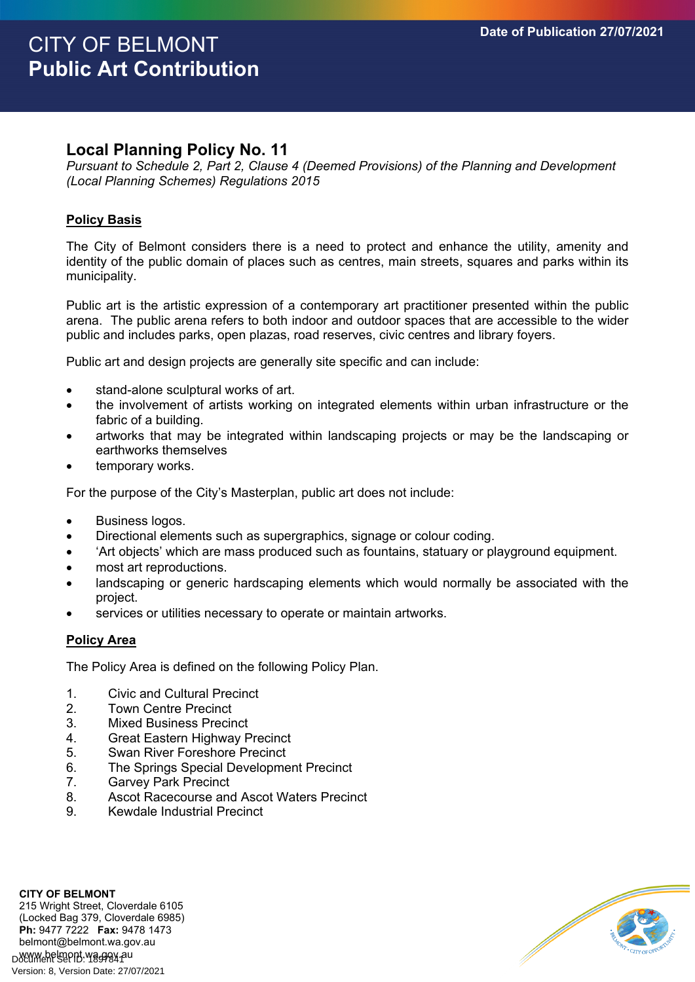# **Local Planning Policy No. 11**

*Pursuant to Schedule 2, Part 2, Clause 4 (Deemed Provisions) of the Planning and Development (Local Planning Schemes) Regulations 2015*

### **Policy Basis**

The City of Belmont considers there is a need to protect and enhance the utility, amenity and identity of the public domain of places such as centres, main streets, squares and parks within its municipality.

Public art is the artistic expression of a contemporary art practitioner presented within the public arena. The public arena refers to both indoor and outdoor spaces that are accessible to the wider public and includes parks, open plazas, road reserves, civic centres and library foyers.

Public art and design projects are generally site specific and can include:

- stand-alone sculptural works of art.
- the involvement of artists working on integrated elements within urban infrastructure or the fabric of a building.
- artworks that may be integrated within landscaping projects or may be the landscaping or earthworks themselves
- temporary works.

For the purpose of the City's Masterplan, public art does not include:

- **•** Business logos.
- Directional elements such as supergraphics, signage or colour coding.
- 'Art objects' which are mass produced such as fountains, statuary or playground equipment.
- most art reproductions.
- landscaping or generic hardscaping elements which would normally be associated with the project.
- services or utilities necessary to operate or maintain artworks.

#### **Policy Area**

The Policy Area is defined on the following Policy Plan.

- 1. Civic and Cultural Precinct
- 2. Town Centre Precinct
- 3. Mixed Business Precinct
- 4. Great Eastern Highway Precinct
- 5. Swan River Foreshore Precinct
- 6. The Springs Special Development Precinct
- 7. Garvey Park Precinct
- 8. Ascot Racecourse and Ascot Waters Precinct
- 9. Kewdale Industrial Precinct

**CITY OF BELMONT** 215 Wright Street, Cloverdale 6105 (Locked Bag 379, Cloverdale 6985) **Ph:** 9477 7222 **Fax:** 9478 1473 belmont@belmont.wa.gov.au www.belmont.wa.gov.au Version: 8, Version Date: 27/07/2021

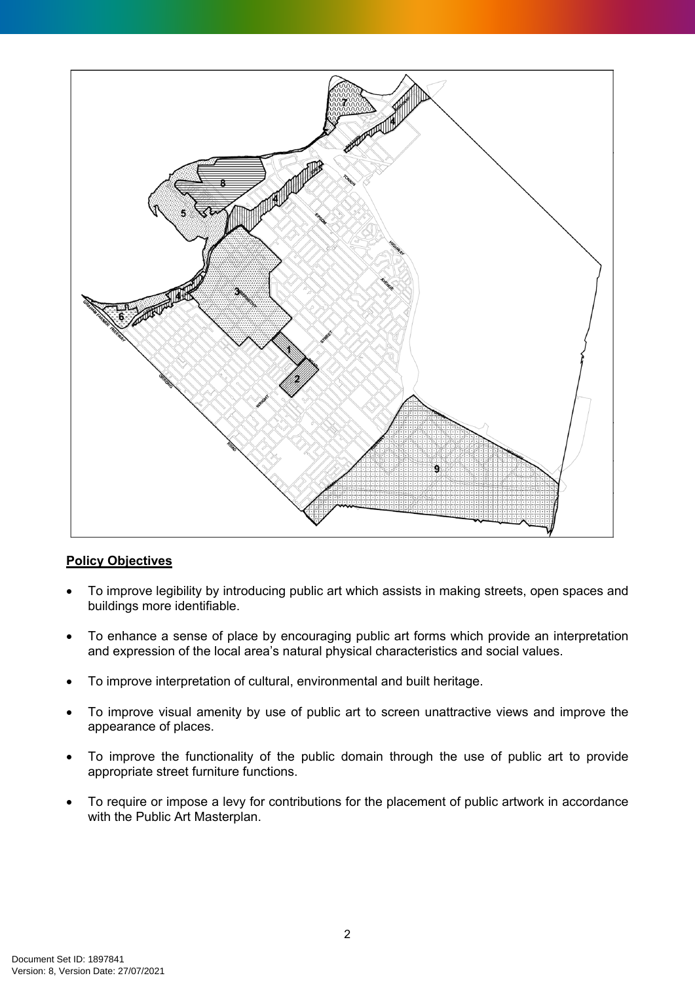

## **Policy Objectives**

- To improve legibility by introducing public art which assists in making streets, open spaces and buildings more identifiable.
- To enhance a sense of place by encouraging public art forms which provide an interpretation and expression of the local area's natural physical characteristics and social values.
- To improve interpretation of cultural, environmental and built heritage.
- To improve visual amenity by use of public art to screen unattractive views and improve the appearance of places.
- To improve the functionality of the public domain through the use of public art to provide appropriate street furniture functions.
- To require or impose a levy for contributions for the placement of public artwork in accordance with the Public Art Masterplan.